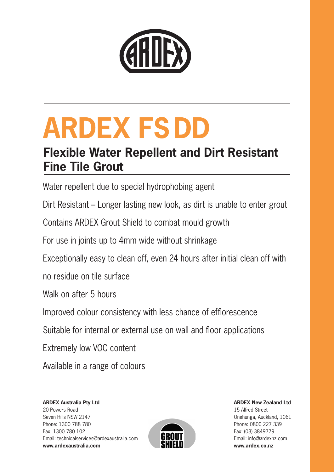

# **ARDEX FSDD**

## **Flexible Water Repellent and Dirt Resistant Fine Tile Grout**

Water repellent due to special hydrophobing agent

Dirt Resistant – Longer lasting new look, as dirt is unable to enter grout

Contains ARDEX Grout Shield to combat mould growth

For use in joints up to 4mm wide without shrinkage

Exceptionally easy to clean off, even 24 hours after initial clean off with

no residue on tile surface

Walk on after 5 hours

Improved colour consistency with less chance of efflorescence

Suitable for internal or external use on wall and floor applications

Extremely low VOC content

Available in a range of colours

**ARDEX Australia Pty Ltd** 20 Powers Road Seven Hills NSW 2147 Phone: 1300 788 780 Fax: 1300 780 102 Email: technicalservices@ardexaustralia.com **www.ardexaustralia.com**



**ARDEX New Zealand Ltd** 15 Alfred Street Onehunga, Auckland, 1061 Phone: 0800 227 339 Fax: (03) 3849779 Email: info@ardexnz.com **www.ardex.co.nz**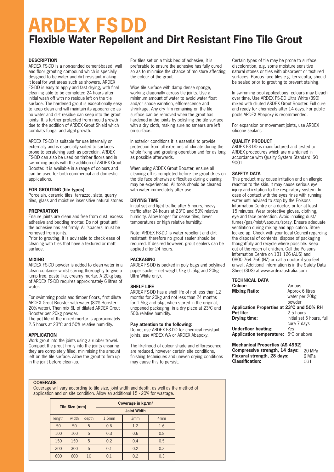# **ARDEX FSDD Flexible Water Repellent and Dirt Resistant Fine Tile Grout**

#### **DESCRIPTION**

ARDEX FS-DD is a non-sanded cement-based, wall and floor grouting compound which is specially designed to be water and dirt resistant making it ideal for wet areas such as showers. ARDEX FS-DD is easy to apply and fast drying, with final cleaning able to be completed 24 hours after initial wash off with no residue left on the tile surface. The hardened grout is exceptionally easy to keep clean and will maintain its appearance as no water and dirt residue can seep into the grout joints. It is further protected from mould growth due to the addition of ARDEX Grout Shield which combats fungal and algal growth.

ARDEX FS-DD is suitable for use internally or externally and is especially suited to surfaces prone to scratching such as porcelain. ARDEX FS-DD can also be used on timber floors and in swimming pools with the addition of ARDEX Grout Booster. It is available in a range of colours and can be used for both commercial and domestic applications.

#### **FOR GROUTING (tile types)**

Porcelain, ceramic tiles, terrazzo, slate, quarry tiles, glass and moisture insensitive natural stones

#### **PREPARATION**

Ensure joints are clean and free from dust, excess adhesive and bedding mortar. Do not grout until the adhesive has set firmly. All 'spacers' must be removed from joints.

Prior to grouting, it is advisable to check ease of cleaning with tiles that have a textured or matt surface.

#### **MIXING**

ARDEX FS-DD powder is added to clean water in a clean container whilst stirring thoroughly to give a lump free, paste like, creamy mortar. A 20kg bag of ARDEX FS-DD requires approximately 6 litres of water.

For swimming pools and timber floors, first dilute ARDEX Grout Booster with water (80% Booster: 20% water). Then mix 6L of diluted ARDEX Grout Booster per 20kg powder.

The pot life of the mixed mortar is approximately 2.5 hours at 23°C and 50% relative humidity.

#### **APPLICATION**

Work grout into the joints using a rubber trowel. Compact the grout firmly into the joints ensuring they are completely filled, minimising the amount left on the tile surface. Allow the grout to firm up in the joint before clean-up.

For tiles set on a thick bed of adhesive, it is preferable to ensure the adhesive has fully cured so as to minimise the chance of moisture affecting the colour of the grout.

Wipe tile surface with damp dense sponge, working diagonally across tile joints. Use a minimum amount of water to avoid water float and/or shade variation, efflorescence and shrinkage. Any dry film remaining on the tile surface can be removed when the grout has hardened in the joints by polishing the tile surface with a dry cloth, making sure no smears are left on surface.

In exterior conditions it is essential to provide protection from all extremes of climate during the whole fixing and grouting operation and for as long as possible afterwards.

When using ARDEX Grout Booster, ensure all cleaning off is completed before the grout dries on the tile face otherwise difficulties during cleaning may be experienced. All tools should be cleaned with water immediately after use.

#### **DRYING TIME**

Initial set and light traffic after 5 hours, heavy traffic after 24 hours at 23°C and 50% relative humidity. Allow longer for dense tiles, lower temperatures or high relative humidity.

Note: ARDEX FS-DD is water repellent and dirt resistant; therefore no grout sealer should be required. If desired however, grout sealers can be applied after 24 hours.

#### **PACKAGING**

ARDEX FS-DD is packed in poly bags and polylined paper sacks – net weight 5kg (1.5kg and 20kg Ultra White only).

#### **SHELF LIFE**

ARDEX FS-DD has a shelf life of not less than 12 months for 20kg and not less than 24 months for 1.5kg and 5kg, when stored in the original, unopened packaging, in a dry place at 23ºC and 50% relative humidity.

#### **Pay attention to the following:**

Do not use ARDEX FS-DD for chemical resistant joints, use ARDEX WA or ARDEX Abapoxy.

The likelihood of colour shade and efflorescence are reduced, however certain site conditions, finishing techniques and uneven drying conditions may cause this to persist.

Certain types of tile may be prone to surface discoloration, e.g. some moisture sensitive natural stones or tiles with absorbent or textured surfaces. Porous face tiles e.g. terracotta, should be sealed prior to grouting to prevent staining.

In swimming pool applications, colours may bleach over time. Use ARDEX FS-DD Ultra White (390) mixed with diluted ARDEX Grout Booster. Full cure and ready for chemicals after 14 days. For public pools ARDEX Abapoxy is recommended.

For expansion or movement joints, use ARDEX silicone sealant.

#### **QUALITY PRODUCT**

ARDEX FS-DD is manufactured and tested to ARDEX procedures which are maintained in accordance with Quality System Standard ISO 9001.

#### **SAFETY DATA**

This product may cause irritation and an allergic reaction to the skin. It may cause serious eye injury and irritation to the respiratory system. In case of contact with the eyes rinse with running water until advised to stop by the Poisons Information Centre or a doctor, or for at least 15 minutes. Wear protective gloves, clothing, eye and face protection. Avoid inhaling dust/ fumes/gas/mist/vapours/spray. Ensure adequate ventilation during mixing and application. Store locked up. Check with your local Council regarding the disposal of contents, dispose of packaging thoughtfully and recycle where possible. Keep out of the reach of children. Call the Poisons Information Centre on 131 126 (AUS) and 0800 764 766 (NZ) or call a doctor if you feel unwell. Additional information is in the Safety Data Sheet (SDS) at www.ardexaustralia.com

## **TECHNICAL DATA**

| Colour:                                      | Various                   |  |  |
|----------------------------------------------|---------------------------|--|--|
| <b>Mixing Ratio:</b>                         | Approx 6 litres           |  |  |
|                                              | water per 20kg            |  |  |
|                                              | powder                    |  |  |
| Application Properties at 23°C and 50% RH    |                           |  |  |
| Pot life:                                    | 2.5 hours                 |  |  |
| Drying time:                                 | Initial set 5 hours, full |  |  |
|                                              | cure 7 days               |  |  |
| Underfloor heating:                          | Yes                       |  |  |
| <b>Application temperature:</b> 5°C or above |                           |  |  |
|                                              |                           |  |  |
|                                              |                           |  |  |

**Mechanical Properties (AS 4992) Compressive strength, 14 days: Flexural strength, 28 days: Classification:** 20 MPa 6 MPa  $C<sub>G1</sub>$ 

#### **COVERAGE**

Coverage will vary according to tile size, joint width and depth, as well as the method of application and on site condition. Allow an additional 15 - 20% for wastage.

| Tile Size (mm) |       | Coverage in $\text{kg}/\text{m}^2$ |                   |     |                 |
|----------------|-------|------------------------------------|-------------------|-----|-----------------|
|                |       | <b>Joint Width</b>                 |                   |     |                 |
| length         | width | depth                              | 1.5 <sub>mm</sub> | 3mm | 4 <sub>mm</sub> |
| 50             | 50    | 5                                  | 0.6               | 1.2 | 1.6             |
| 100            | 100   | 5                                  | 0.3               | 0.6 | 0.8             |
| 150            | 150   | 5                                  | 0.2               | 0.4 | 0.5             |
| 300            | 300   | 5                                  | 0.1               | 0.2 | 0.3             |
| 600            | 600   | 10                                 | 0.1               | 0.2 | 0.3             |